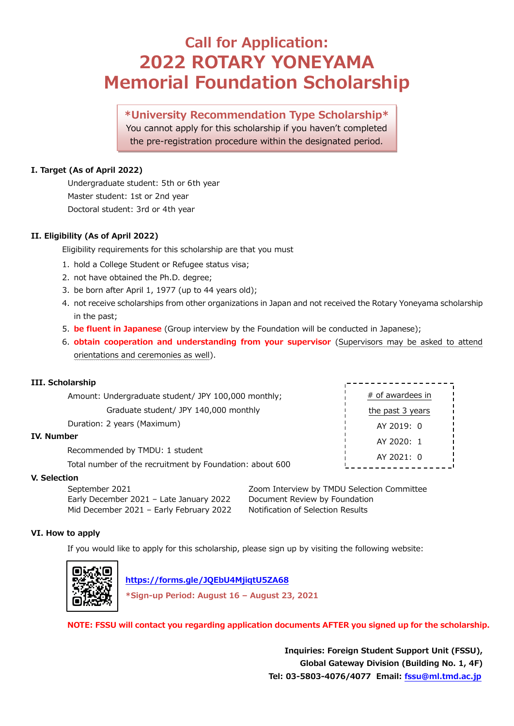## **Call for Application: 2022 ROTARY YONEYAMA Memorial Foundation Scholarship**

### **\*University Recommendation Type Scholarship\*** You cannot apply for this scholarship if you haven't completed the pre-registration procedure within the designated period.

#### **I. Target (As of April 2022)**

Undergraduate student: 5th or 6th year Master student: 1st or 2nd year Doctoral student: 3rd or 4th year

#### **II. Eligibility (As of April 2022)**

Eligibility requirements for this scholarship are that you must

- 1. hold a College Student or Refugee status visa;
- 2. not have obtained the Ph.D. degree;
- 3. be born after April 1, 1977 (up to 44 years old);
- 4. not receive scholarships from other organizations in Japan and not received the Rotary Yoneyama scholarship in the past;
- 5. **be fluent in Japanese** (Group interview by the Foundation will be conducted in Japanese);
- 6. **obtain cooperation and understanding from your supervisor** (Supervisors may be asked to attend orientations and ceremonies as well).

| III. Scholarship                                         |                  |  |
|----------------------------------------------------------|------------------|--|
| Amount: Undergraduate student/ JPY 100,000 monthly;      | # of awardees in |  |
| Graduate student/ JPY 140,000 monthly                    | the past 3 years |  |
| Duration: 2 years (Maximum)                              | AY 2019: 0       |  |
| <b>IV. Number</b>                                        | AY 2020: 1       |  |
| Recommended by TMDU: 1 student                           | AY 2021: 0       |  |
| Total number of the recruitment by Foundation: about 600 |                  |  |
| V Selection                                              |                  |  |

#### **V. Selection**

Early December 2021 – Late January 2022 Document Review by Foundation Mid December 2021 - Early February 2022 Notification of Selection Results

September 2021 Zoom Interview by TMDU Selection Committee

#### **VI. How to apply**

If you would like to apply for this scholarship, please sign up by visiting the following website:



 **<https://forms.gle/JQEbU4MjiqtU5ZA68> \*Sign-up Period: August 16 – August 23, 2021**

**NOTE: FSSU will contact you regarding application documents AFTER you signed up for the scholarship.**

**Inquiries: Foreign Student Support Unit (FSSU), Global Gateway Division (Building No. 1, 4F) Tel: 03-5803-4076/4077 Email: [fssu@ml.tmd.ac.jp](mailto:fssu@ml.tmd.ac.jp)**